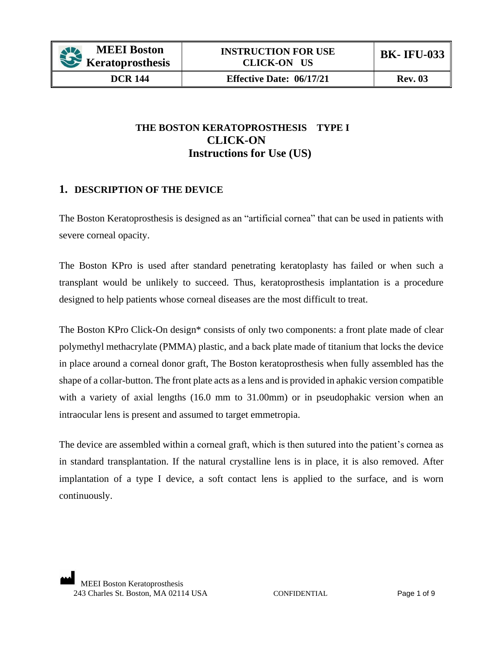# **THE BOSTON KERATOPROSTHESIS TYPE I CLICK-ON Instructions for Use (US)**

# **1. DESCRIPTION OF THE DEVICE**

The Boston Keratoprosthesis is designed as an "artificial cornea" that can be used in patients with severe corneal opacity.

The Boston KPro is used after standard penetrating keratoplasty has failed or when such a transplant would be unlikely to succeed. Thus, keratoprosthesis implantation is a procedure designed to help patients whose corneal diseases are the most difficult to treat.

The Boston KPro Click-On design\* consists of only two components: a front plate made of clear polymethyl methacrylate (PMMA) plastic, and a back plate made of titanium that locks the device in place around a corneal donor graft, The Boston keratoprosthesis when fully assembled has the shape of a collar-button. The front plate acts as a lens and is provided in aphakic version compatible with a variety of axial lengths (16.0 mm to 31.00mm) or in pseudophakic version when an intraocular lens is present and assumed to target emmetropia.

The device are assembled within a corneal graft, which is then sutured into the patient's cornea as in standard transplantation. If the natural crystalline lens is in place, it is also removed. After implantation of a type I device, a soft contact lens is applied to the surface, and is worn continuously.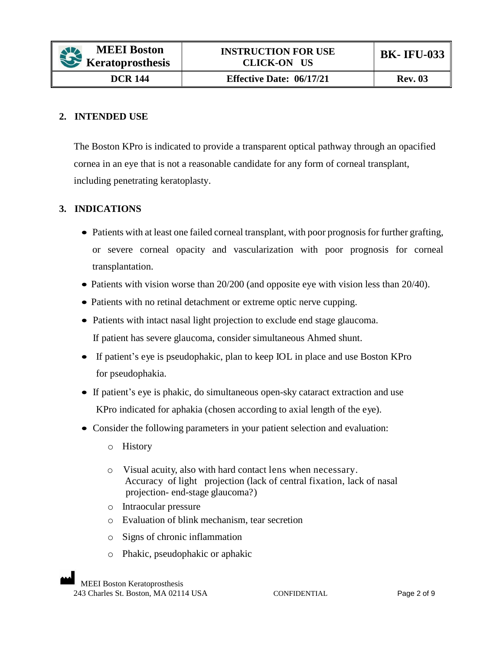### **2. INTENDED USE**

The Boston KPro is indicated to provide a transparent optical pathway through an opacified cornea in an eye that is not a reasonable candidate for any form of corneal transplant, including penetrating keratoplasty.

### **3. INDICATIONS**

- Patients with at least one failed corneal transplant, with poor prognosis for further grafting, or severe corneal opacity and vascularization with poor prognosis for corneal transplantation.
- Patients with vision worse than 20/200 (and opposite eye with vision less than 20/40).
- Patients with no retinal detachment or extreme optic nerve cupping.
- Patients with intact nasal light projection to exclude end stage glaucoma. If patient has severe glaucoma, consider simultaneous Ahmed shunt.
- If patient's eye is pseudophakic, plan to keep IOL in place and use Boston KPro for pseudophakia.
- If patient's eye is phakic, do simultaneous open-sky cataract extraction and use KPro indicated for aphakia (chosen according to axial length of the eye).
- Consider the following parameters in your patient selection and evaluation:
	- o History
	- o Visual acuity, also with hard contact lens when necessary. Accuracy of light projection (lack of central fixation, lack of nasal projection- end-stage glaucoma?)
	- o Intraocular pressure
	- o Evaluation of blink mechanism, tear secretion
	- o Signs of chronic inflammation
	- o Phakic, pseudophakic or aphakic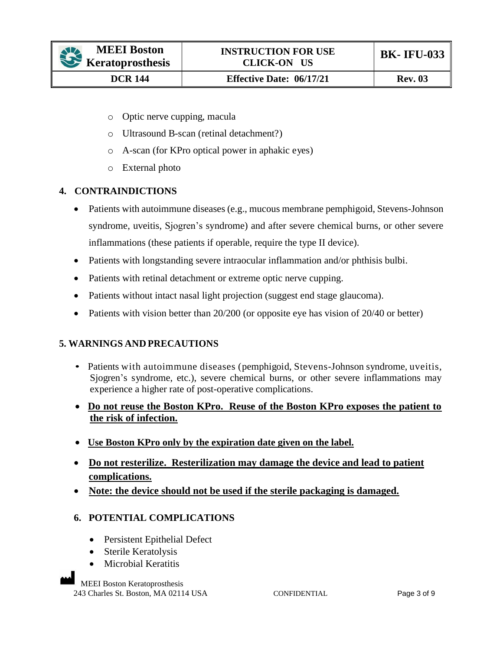- o Optic nerve cupping, macula
- o Ultrasound B-scan (retinal detachment?)
- o A-scan (for KPro optical power in aphakic eyes)
- o External photo

## **4. CONTRAINDICTIONS**

- Patients with autoimmune diseases (e.g., mucous membrane pemphigoid, Stevens-Johnson syndrome, uveitis, Sjogren's syndrome) and after severe chemical burns, or other severe inflammations (these patients if operable, require the type II device).
- Patients with longstanding severe intraocular inflammation and/or phthisis bulbi.
- Patients with retinal detachment or extreme optic nerve cupping.
- Patients without intact nasal light projection (suggest end stage glaucoma).
- Patients with vision better than 20/200 (or opposite eye has vision of 20/40 or better)

# **5. WARNINGS AND PRECAUTIONS**

- Patients with autoimmune diseases (pemphigoid, Stevens-Johnson syndrome, uveitis, Sjogren's syndrome, etc.), severe chemical burns, or other severe inflammations may experience a higher rate of post-operative complications.
- **Do not reuse the Boston KPro. Reuse of the Boston KPro exposes the patient to the risk of infection.**
- **Use Boston KPro only by the expiration date given on the label.**
- **Do not resterilize. Resterilization may damage the device and lead to patient complications.**
- **Note: the device should not be used if the sterile packaging is damaged.**

### **6. POTENTIAL COMPLICATIONS**

- Persistent Epithelial Defect
- Sterile Keratolysis
- Microbial Keratitis

MEEI Boston Keratoprosthesis 243 Charles St. Boston, MA 02114 USA CONFIDENTIAL Page 3 of 9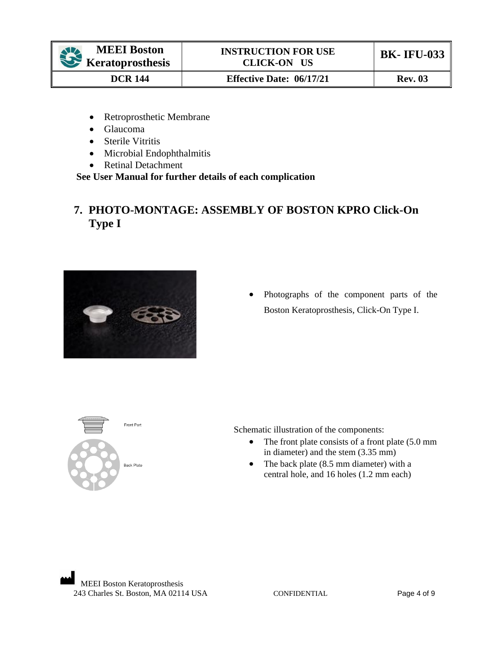**DCR 144 Effective Date: 06/17/21 Rev. 03** 

- Retroprosthetic Membrane
- Glaucoma
- Sterile Vitritis
- Microbial Endophthalmitis
- Retinal Detachment

 **See User Manual for further details of each complication**

# **7. PHOTO-MONTAGE: ASSEMBLY OF BOSTON KPRO Click-On Type I**



• Photographs of the component parts of the Boston Keratoprosthesis, Click-On Type I.



Schematic illustration of the components:

- The front plate consists of a front plate (5.0 mm in diameter) and the stem (3.35 mm)
- The back plate (8.5 mm diameter) with a central hole, and 16 holes (1.2 mm each)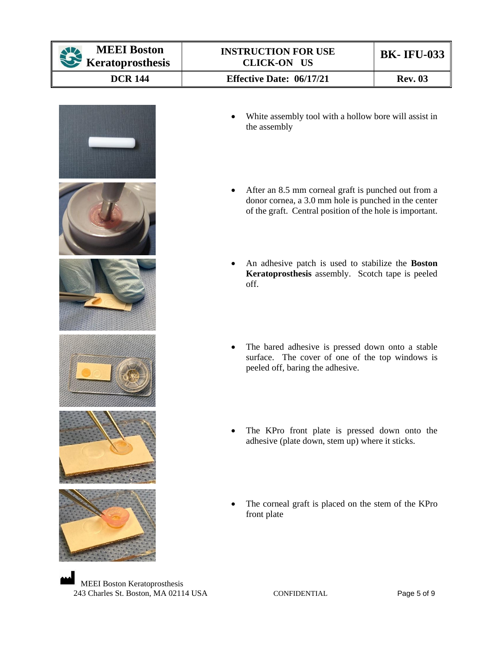| <b>MEEI Boston</b><br>Keratoprosthesis | <b>INSTRUCTION FOR USE</b><br><b>CLICK-ON US</b>                                                                                                                                     | <b>BK-IFU-033</b>                                   |  |  |
|----------------------------------------|--------------------------------------------------------------------------------------------------------------------------------------------------------------------------------------|-----------------------------------------------------|--|--|
| <b>DCR 144</b>                         | <b>Effective Date: 06/17/21</b>                                                                                                                                                      | <b>Rev. 03</b>                                      |  |  |
|                                        | White assembly tool with a hollow bore will assist in<br>the assembly                                                                                                                |                                                     |  |  |
|                                        | After an 8.5 mm corneal graft is punched out from a<br>$\bullet$<br>donor cornea, a 3.0 mm hole is punched in the center<br>of the graft. Central position of the hole is important. |                                                     |  |  |
|                                        | An adhesive patch is used to stabilize the Boston<br>Keratoprosthesis assembly. Scotch tape is peeled<br>off.                                                                        |                                                     |  |  |
|                                        | The bared adhesive is pressed down onto a stable<br>surface. The cover of one of the top windows is<br>peeled off, baring the adhesive.                                              |                                                     |  |  |
|                                        | The KPro front plate is pressed down onto the<br>adhesive (plate down, stem up) where it sticks.                                                                                     |                                                     |  |  |
|                                        | front plate                                                                                                                                                                          | The corneal graft is placed on the stem of the KPro |  |  |

MEEI Boston Keratoprosthesis 243 Charles St. Boston, MA 02114 USA CONFIDENTIAL Page 5 of 9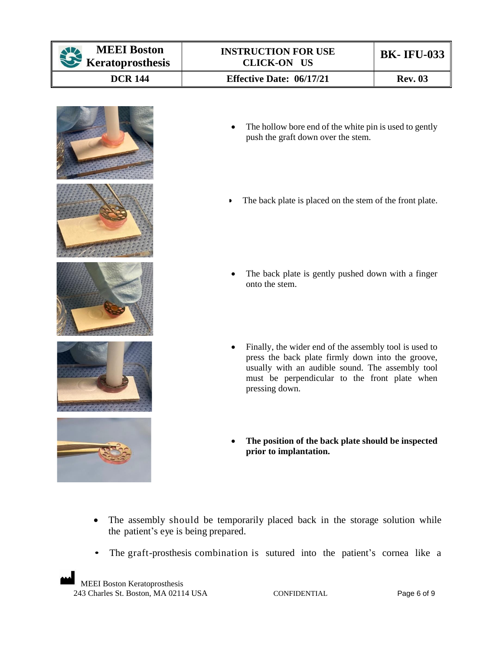| <b>BK-IFU-033</b> |
|-------------------|
| <b>Rev. 03</b>    |
|                   |



- The hollow bore end of the white pin is used to gently push the graft down over the stem.
- The back plate is placed on the stem of the front plate.
- The back plate is gently pushed down with a finger onto the stem.
- Finally, the wider end of the assembly tool is used to press the back plate firmly down into the groove, usually with an audible sound. The assembly tool must be perpendicular to the front plate when pressing down.
- **The position of the back plate should be inspected prior to implantation.**
- The assembly should be temporarily placed back in the storage solution while the patient's eye is being prepared.
- The graft-prosthesis combination is sutured into the patient's cornea like a

MEEI Boston Keratoprosthesis 243 Charles St. Boston, MA 02114 USA CONFIDENTIAL Page 6 of 9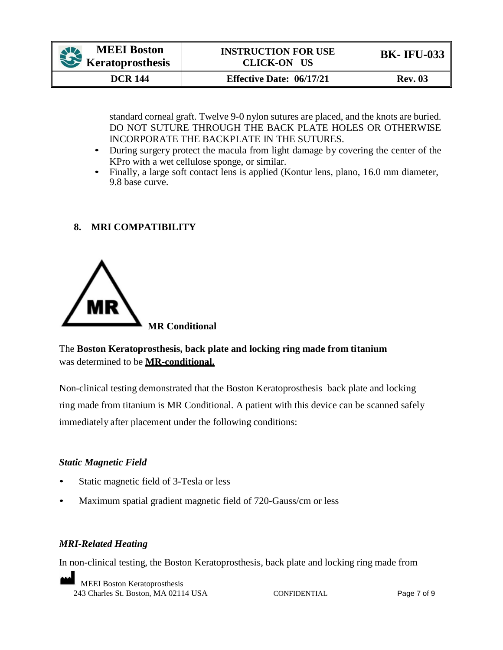| <b>MEEI</b> Boston<br>Keratoprosthesis | <b>INSTRUCTION FOR USE</b><br>CLICK-ON US | <b>BK-IFU-033</b> |
|----------------------------------------|-------------------------------------------|-------------------|
| <b>DCR</b> 144                         | <b>Effective Date: 06/17/21</b>           | <b>Rev. 03</b>    |

standard corneal graft. Twelve 9-0 nylon sutures are placed, and the knots are buried. DO NOT SUTURE THROUGH THE BACK PLATE HOLES OR OTHERWISE INCORPORATE THE BACKPLATE IN THE SUTURES.

- During surgery protect the macula from light damage by covering the center of the KPro with a wet cellulose sponge, or similar.
- Finally, a large soft contact lens is applied (Kontur lens, plano, 16.0 mm diameter, 9.8 base curve.

## **8. MRI COMPATIBILITY**



The **Boston Keratoprosthesis, back plate and locking ring made from titanium** was determined to be **MR-conditional.**

Non-clinical testing demonstrated that the Boston Keratoprosthesis back plate and locking ring made from titanium is MR Conditional. A patient with this device can be scanned safely immediately after placement under the following conditions:

### *Static Magnetic Field*

- Static magnetic field of 3-Tesla or less
- Maximum spatial gradient magnetic field of 720-Gauss/cm or less

# *MRI-Related Heating*

In non-clinical testing, the Boston Keratoprosthesis, back plate and locking ring made from

MEEI Boston Keratoprosthesis 243 Charles St. Boston, MA 02114 USA CONFIDENTIAL Page 7 of 9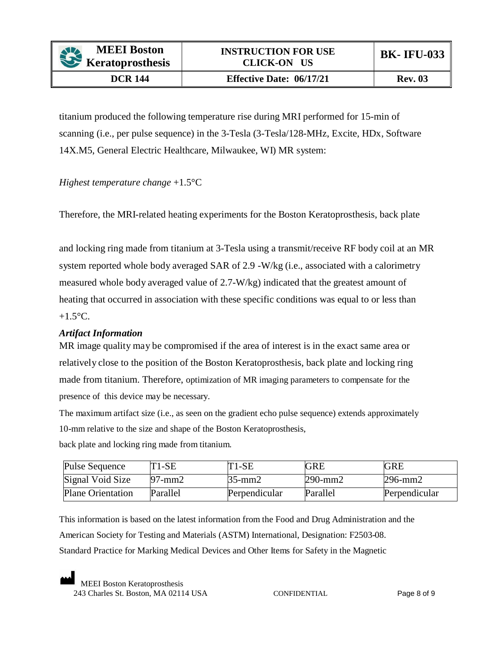titanium produced the following temperature rise during MRI performed for 15-min of scanning (i.e., per pulse sequence) in the 3-Tesla (3-Tesla/128-MHz, Excite, HDx, Software 14X.M5, General Electric Healthcare, Milwaukee, WI) MR system:

## *Highest temperature change* +1.5°C

Therefore, the MRI-related heating experiments for the Boston Keratoprosthesis, back plate

and locking ring made from titanium at 3-Tesla using a transmit/receive RF body coil at an MR system reported whole body averaged SAR of 2.9 -W/kg (i.e., associated with a calorimetry measured whole body averaged value of 2.7-W/kg) indicated that the greatest amount of heating that occurred in association with these specific conditions was equal to or less than  $+1.5$ °C.

### *Artifact Information*

MR image quality may be compromised if the area of interest is in the exact same area or relatively close to the position of the Boston Keratoprosthesis, back plate and locking ring made from titanium. Therefore, optimization of MR imaging parameters to compensate for the presence of this device may be necessary.

The maximum artifact size (i.e., as seen on the gradient echo pulse sequence) extends approximately 10-mm relative to the size and shape of the Boston Keratoprosthesis,

back plate and locking ring made from titanium.

| Pulse Sequence           | $T1-SE$      | $T1-SE$       | <b>GRE</b>    | <b>GRE</b>    |
|--------------------------|--------------|---------------|---------------|---------------|
| Signal Void Size         | $97$ -mm $2$ | 35-mm2        | $290$ -mm $2$ | $296$ -mm $2$ |
| <b>Plane Orientation</b> | Parallel     | Perpendicular | Parallel      | Perpendicular |

This information is based on the latest information from the Food and Drug Administration and the American Society for Testing and Materials (ASTM) International, Designation: F2503-08. Standard Practice for Marking Medical Devices and Other Items for Safety in the Magnetic